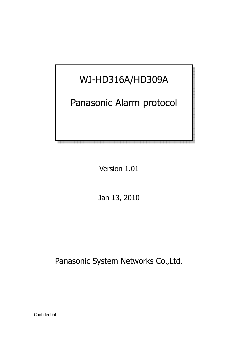# WJ-HD316A/HD309A

# Panasonic Alarm protocol

Version 1.01

Jan 13, 2010

Panasonic System Networks Co., Ltd.

Confidential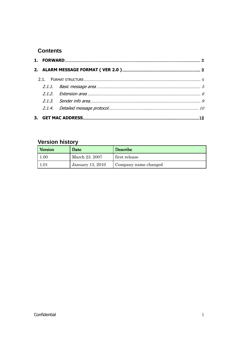## **Contents**

# **Version history**

| Version | Date             | <b>Describe</b>      |
|---------|------------------|----------------------|
| 1.00    | March 23. 2007   | first release        |
| 1.01    | January 13, 2010 | Company name changed |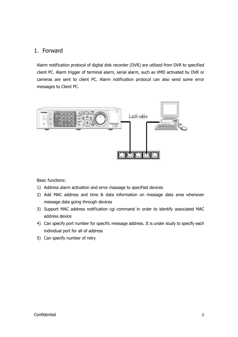### 1. Forward

Alarm notification protocol of digital disk recorder (DVR) are utilized from DVR to specified client PC. Alarm trigger of terminal alarm, serial alarm, such as VMD activated by DVR or cameras are sent to client PC. Alarm notification protocol can also send some error messages to Client PC.



Basic functions:

- 1) Address alarm activation and error massage to specified devices
- 2) Add MAC address and time & data information on message data area whenever message data going through devices
- 3) Support MAC address notification cgi command in order to identify associated MAC address device
- 4) Can specify port number for specific message address. It is under study to specify each individual port for all of address
- 5) Can specify number of retry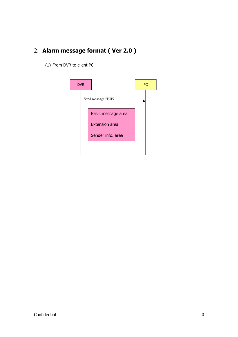# 2. **Alarm message format ( Ver 2.0 )**

(1) From DVR to client PC

| <b>DVR</b> |                       | <b>PC</b> |
|------------|-----------------------|-----------|
|            | Send message (TCP)    |           |
|            | Basic message area    |           |
|            | <b>Extension area</b> |           |
|            | Sender info. area     |           |
|            |                       |           |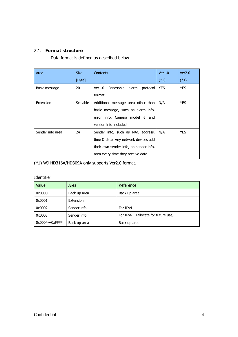#### 2.1. **Format structure**

Data format is defined as described below

| Area             | Size            | <b>Contents</b>                          | Ver1.0     | Ver2.0     |
|------------------|-----------------|------------------------------------------|------------|------------|
|                  | [Byte]          |                                          | $(*1)$     | $(*1)$     |
| Basic message    | 20              | Panasonic<br>Ver1.0<br>alarm<br>protocol | <b>YES</b> | <b>YES</b> |
|                  |                 | format                                   |            |            |
| Extension        | <b>Scalable</b> | Additional message area other than       | N/A        | <b>YES</b> |
|                  |                 | basic message, such as alarm info,       |            |            |
|                  |                 | error info. Camera model $#$ and         |            |            |
|                  |                 | version info included                    |            |            |
| Sender info area | 24              | Sender info, such as MAC address,        | N/A        | <b>YES</b> |
|                  |                 | time & date. Any network devices add     |            |            |
|                  |                 | their own sender info, on sender info,   |            |            |
|                  |                 | area every time they receive data        |            |            |

(\*1) WJ-HD316A/HD309A only supports Ver2.0 format.

Identifier

| Value                 | Area         | Reference                             |
|-----------------------|--------------|---------------------------------------|
| 0x0000                | Back up area | Back up area                          |
| 0x0001                | Extension    |                                       |
| 0x0002                | Sender info. | For IPv4                              |
| 0x0003                | Sender info. | (allocate for future use)<br>For IPv6 |
| $0x0004 \sim 0x$ FFFF | Back up area | Back up area                          |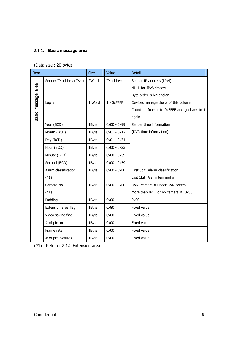#### 2.1.1. **Basic message area**

(Data size : 20 byte)

| Item          |                         | <b>Size</b> | Value         | <b>Detail</b>                              |
|---------------|-------------------------|-------------|---------------|--------------------------------------------|
|               | Sender IP address(IPv4) | 2Word       | IP address    | Sender IP address (IPv4)                   |
| area          |                         |             |               | NULL for IPv6 devices                      |
|               |                         |             |               | Byte order is big endian                   |
| Basic message | Log $#$                 | 1 Word      | $1 - 0x$ FFFF | Devices manage the # of this column        |
|               |                         |             |               | Count on from 1 to 0xFFFF and go back to 1 |
|               |                         |             |               | again                                      |
|               | Year (BCD)              | 1Byte       | $0x00 - 0x99$ | Sender time information                    |
|               | Month (BCD)             | 1Byte       | $0x01 - 0x12$ | (DVR time information)                     |
|               | Day (BCD)               | 1Byte       | $0x01 - 0x31$ |                                            |
|               | Hour (BCD)              | 1Byte       | $0x00 - 0x23$ |                                            |
|               | Minute (BCD)            | 1Byte       | $0x00 - 0x59$ |                                            |
|               | Second (BCD)            | 1Byte       | $0x00 - 0x59$ |                                            |
|               | Alarm classification    | 1Byte       | $0x00 - 0xFF$ | First 3bit: Alarm classification           |
|               | $(*1)$                  |             |               | Last 5bit Alarm terminal #                 |
|               | Camera No.              | 1Byte       | $0x00 - 0xFF$ | DVR: camera # under DVR control            |
|               | $(*1)$                  |             |               | More than 0xFF or no camera #: 0x00        |
|               | Padding                 | 1Byte       | 0x00          | 0x00                                       |
|               | Extension area flag     | 1Byte       | 0x80          | Fixed value                                |
|               | Video saving flag       | 1Byte       | 0x00          | Fixed value                                |
|               | # of picture            | 1Byte       | 0x00          | Fixed value                                |
|               | Frame rate              | 1Byte       | 0x00          | Fixed value                                |
|               | # of pre pictures       | 1Byte       | 0x00          | <b>Fixed value</b>                         |

(\*1) Refer of 2.1.2 Extension area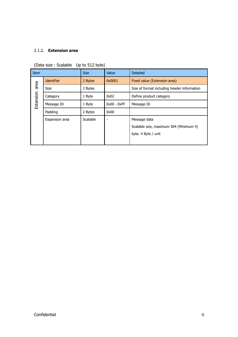#### 2.1.2. **Extension area**

| <b>Item</b> |                   | <b>Size</b>     | Value         | <b>Detailed</b>                             |
|-------------|-------------------|-----------------|---------------|---------------------------------------------|
|             | <b>Identifier</b> | 2 Bytes         | 0x0001        | Fixed value (Extension area)                |
| area        | <b>Size</b>       | 2 Bytes         |               | Size of format including header information |
| Extension   | Category          | 1 Byte          | 0x02          | Define product category                     |
|             | Message ID        | 1 Byte          | $0x00 - 0xFF$ | Message ID                                  |
|             | Padding           | 2 Bytes         | 0x00          |                                             |
|             | Expansion area    | <b>Scalable</b> |               | Message data                                |
|             |                   |                 |               | Scalable size, maximum 504 (Minimum 4)      |
|             |                   |                 |               | byte. 4 Byte / unit                         |
|             |                   |                 |               |                                             |

(Data size : Scalable Up to 512 byte)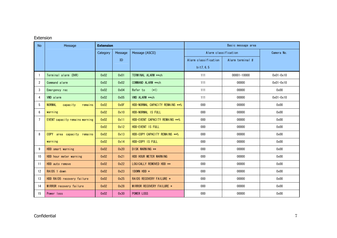#### Extension

| <b>No</b> | Message                               | <b>Extension</b> |         |                                 |                      | Basic message area |               |
|-----------|---------------------------------------|------------------|---------|---------------------------------|----------------------|--------------------|---------------|
|           |                                       | Category         | Message | Message (ASCII)                 | Alarm classification |                    | Camera No.    |
|           |                                       |                  | ID      |                                 | Alarm classification | Alarm terminal #   |               |
|           |                                       |                  |         |                                 | bit7, 6, 5           |                    |               |
| -1        | Terminal alarm (DVR)                  | 0x02             | 0x01    | TERMINAL ALARM ** ch            | 111                  | 00001-10000        | $0x01 - 0x10$ |
| 2         | Command alarm                         | 0x02             | 0x02    | COMMAND ALARM ** ch             | 111                  | 00000              | $0x01 - 0x10$ |
| 3         | Emergency rec                         | 0x02             | 0x04    | Refer to<br>$(*1)$              | 111                  | 00000              | 0x00          |
| 4         | VMD alarm                             | 0x02             | 0x05    | VMD ALARM **ch                  | 111                  | 00000              | $0x01 - 0x10$ |
| 5         | <b>NORMAL</b><br>capacity<br>remains  | 0x02             | 0x0F    | HDD-NORMAL CAPACITY REMAINS **% | 000                  | 00000              | 0x00          |
| 6         | warning                               | 0x02             | 0x10    | HDD-NORMAL IS FULL              | 000                  | 00000              | 0x00          |
| 7         | <b>EVENT</b> capacity remains warning | 0x02             | 0x11    | HDD-EVENT CAPACITY REMAINS **%  | 000                  | 00000              | 0x00          |
|           |                                       | 0x02             | 0x12    | HDD-EVENT IS FULL               | 000                  | 00000              | 0x00          |
| 8         | COPY area capacity remains            | 0x02             | 0x13    | HDD-COPY CAPACITY REMAINS **%   | 000                  | 00000              | 0x00          |
|           | warning                               | 0x02             | 0x14    | HDD-COPY IS FULL                | 000                  | 00000              | 0x00          |
| 9         | HDD smart warning                     | 0x02             | 0x20    | DISK WARNING **                 | 000                  | 00000              | 0x00          |
| 10        | HDD hour meter warning                | 0x02             | 0x21    | HDD HOUR METER WARNING          | 000                  | 00000              | 0x00          |
| 11        | HDD auto remove                       | 0x02             | 0x22    | LOGICALLY REMOVED HDD **        | 000                  | 00000              | 0x00          |
| 12        | RAID5 1 down                          | 0x02             | 0x23    | 1DOWN HDD *                     | 000                  | 00000              | 0x00          |
| 13        | HDD RAID5 recovery failure            | 0x02             | 0x25    | RAID5 RECOVERY FAILURE *        | 000                  | 00000              | 0x00          |
| 14        | MIRROR recovery failure               | 0x02             | 0x28    | MIRROR RECOVERY FAILURE *       | 000                  | 00000              | 0x00          |
| 15        | Power loss                            | 0x02             | 0x30    | <b>POWER LOSS</b>               | 000                  | 00000              | 0x00          |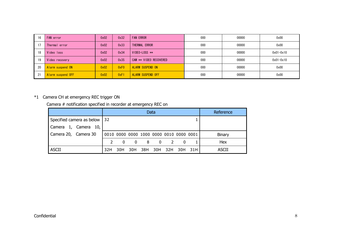| 16 | FAN error         | 0x02 | 0x32 | <b>FAN ERROR</b>         | 000 | 00000 | 0x00          |
|----|-------------------|------|------|--------------------------|-----|-------|---------------|
|    | Thermal error     | 0x02 | 0x33 | THERMAL ERROR            | 000 | 00000 | 0x00          |
| 18 | Video loss        | 0x02 | 0x34 | VIDEO-LOSS **            | 000 | 00000 | $0x01 - 0x10$ |
| 19 | Video recovery    | 0x02 | 0x35 | CAM ** VIDEO RECOVERED   | 000 | 00000 | $0x01 - 0x10$ |
| 20 | Alarm suspend ON  | 0x02 | 0xF0 | <b>ALARM SUSPEND ON</b>  | 000 | 00000 | 0x00          |
| 21 | Alarm suspend OFF | 0x02 | 0xF1 | <b>ALARM SUSPEND OFF</b> | 000 | 00000 | 0x00          |

### \*1 Camera CH at emergency REC trigger ON

Camera # notification specified in recorder at emergency REC on

|                                | Data |              |                                         |     |     |     |              | Reference |               |
|--------------------------------|------|--------------|-----------------------------------------|-----|-----|-----|--------------|-----------|---------------|
| Specified camera as below   32 |      |              |                                         |     |     |     |              |           |               |
| Camera 1, Camera 10,           |      |              |                                         |     |     |     |              |           |               |
| Camera 20, Camera 30           |      |              | 0010 0000 0000 1000 0000 0010 0000 0001 |     |     |     |              |           | <b>Binary</b> |
|                                |      | $\mathbf{0}$ | $\mathbf{0}$                            | 8   | - 0 | 2   | $\mathbf{0}$ |           | Hex           |
| <b>ASCII</b>                   | 32H  | 30H          | 30H                                     | 38H | 30H | 32H |              | 30H 31H   | ASCII         |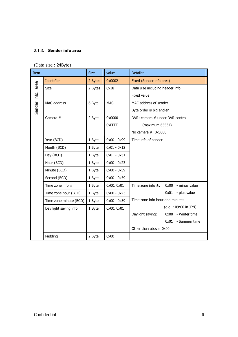#### 2.1.3. **Sender info area**

(Data size : 24Byte)

| Item         |                        | <b>Size</b> | value         | <b>Detailed</b>                              |  |  |
|--------------|------------------------|-------------|---------------|----------------------------------------------|--|--|
|              | <b>Identifier</b>      | 2 Bytes     | 0x0002        | Fixed (Sender info area)                     |  |  |
| area         | <b>Size</b>            | 2 Bytes     | 0x18          | Data size including header info              |  |  |
|              |                        |             |               | Fixed value                                  |  |  |
| Sender info. | MAC address            | 6 Byte      | <b>MAC</b>    | MAC address of sender                        |  |  |
|              |                        |             |               | Byte order is big endien                     |  |  |
|              | Camera #               | 2 Byte      | 0x0000 -      | DVR: camera # under DVR control              |  |  |
|              |                        |             | 0xFFFF        | (maximum 65534)                              |  |  |
|              |                        |             |               | No camera #: 0x0000                          |  |  |
|              | Year (BCD)             | 1 Byte      | $0x00 - 0x99$ | Time info of sender                          |  |  |
|              | Month (BCD)            | 1 Byte      | $0x01 - 0x12$ |                                              |  |  |
|              | Day (BCD)              | 1 Byte      | $0x01 - 0x31$ |                                              |  |  |
|              | Hour (BCD)             | 1 Byte      | $0x00 - 0x23$ |                                              |  |  |
|              | Minute (BCD)           | 1 Byte      | $0x00 - 0x59$ |                                              |  |  |
|              | Second (BCD)           | 1 Byte      | $0x00 - 0x59$ |                                              |  |  |
|              | Time zone info $\pm$   | 1 Byte      | 0x00, 0x01    | Time zone info $\pm$ :<br>0x00 - minus value |  |  |
|              | Time zone hour (BCD)   | 1 Byte      | $0x00 - 0x23$ | $0x01$ - plus value                          |  |  |
|              | Time zone minute (BCD) | 1 Byte      | $0x00 - 0x59$ | Time zone info hour and minute:              |  |  |
|              | Day light saving info  | 1 Byte      | 0x00, 0x01    | (e.g.: 09:00 in JPN)                         |  |  |
|              |                        |             |               | Daylight saving:<br>0x00 - Winter time       |  |  |
|              |                        |             |               | 0x01 - Summer time                           |  |  |
|              |                        |             |               | Other than above: 0x00                       |  |  |
|              | Padding                | 2 Byte      | 0x00          |                                              |  |  |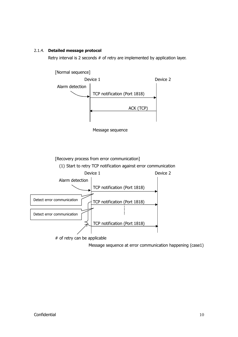#### 2.1.4. **Detailed message protocol**

Retry interval is 2 seconds # of retry are implemented by application layer.



# of retry can be applicable

Message sequence at error communication happening (case1)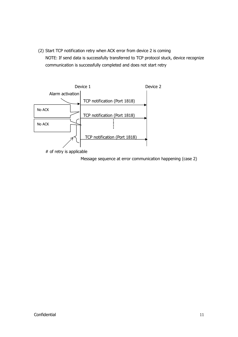(2) Start TCP notification retry when ACK error from device 2 is coming NOTE: If send data is successfully transferred to TCP protocol stuck, device recognize communication is successfully completed and does not start retry



# of retry is applicable

Message sequence at error communication happening (case 2)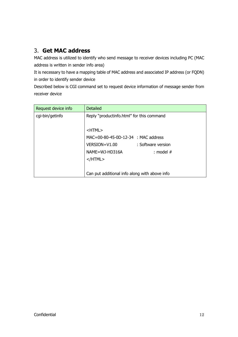# 3. **Get MAC address**

MAC address is utilized to identify who send message to receiver devices including PC (MAC address is written in sender info area)

It is necessary to have a mapping table of MAC address and associated IP address (or FQDN) in order to identify sender device

Described below is CGI command set to request device information of message sender from receiver device

| Request device info | <b>Detailed</b>                               |
|---------------------|-----------------------------------------------|
| cgi-bin/getinfo     | Reply "productinfo.html" for this command     |
|                     |                                               |
|                     | <html></html>                                 |
|                     | MAC=00-80-45-0D-12-34 : MAC address           |
|                     | VERSION=V1.00<br>: Software version           |
|                     | NAME=WJ-HD316A<br>: model $#$                 |
|                     | $<$ /HTML $>$                                 |
|                     |                                               |
|                     | Can put additional info along with above info |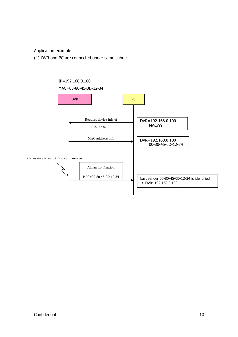Application example

(1) DVR and PC are connected under same subnet